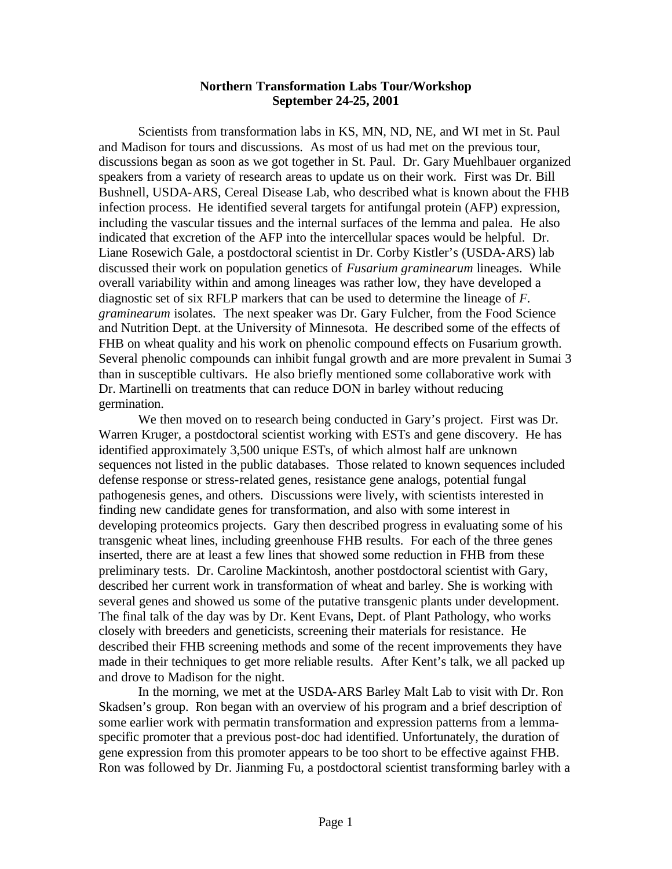## **Northern Transformation Labs Tour/Workshop September 24-25, 2001**

Scientists from transformation labs in KS, MN, ND, NE, and WI met in St. Paul and Madison for tours and discussions. As most of us had met on the previous tour, discussions began as soon as we got together in St. Paul. Dr. Gary Muehlbauer organized speakers from a variety of research areas to update us on their work. First was Dr. Bill Bushnell, USDA-ARS, Cereal Disease Lab, who described what is known about the FHB infection process. He identified several targets for antifungal protein (AFP) expression, including the vascular tissues and the internal surfaces of the lemma and palea. He also indicated that excretion of the AFP into the intercellular spaces would be helpful. Dr. Liane Rosewich Gale, a postdoctoral scientist in Dr. Corby Kistler's (USDA-ARS) lab discussed their work on population genetics of *Fusarium graminearum* lineages. While overall variability within and among lineages was rather low, they have developed a diagnostic set of six RFLP markers that can be used to determine the lineage of *F. graminearum* isolates. The next speaker was Dr. Gary Fulcher, from the Food Science and Nutrition Dept. at the University of Minnesota. He described some of the effects of FHB on wheat quality and his work on phenolic compound effects on Fusarium growth. Several phenolic compounds can inhibit fungal growth and are more prevalent in Sumai 3 than in susceptible cultivars. He also briefly mentioned some collaborative work with Dr. Martinelli on treatments that can reduce DON in barley without reducing germination.

We then moved on to research being conducted in Gary's project. First was Dr. Warren Kruger, a postdoctoral scientist working with ESTs and gene discovery. He has identified approximately 3,500 unique ESTs, of which almost half are unknown sequences not listed in the public databases. Those related to known sequences included defense response or stress-related genes, resistance gene analogs, potential fungal pathogenesis genes, and others. Discussions were lively, with scientists interested in finding new candidate genes for transformation, and also with some interest in developing proteomics projects. Gary then described progress in evaluating some of his transgenic wheat lines, including greenhouse FHB results. For each of the three genes inserted, there are at least a few lines that showed some reduction in FHB from these preliminary tests. Dr. Caroline Mackintosh, another postdoctoral scientist with Gary, described her current work in transformation of wheat and barley. She is working with several genes and showed us some of the putative transgenic plants under development. The final talk of the day was by Dr. Kent Evans, Dept. of Plant Pathology, who works closely with breeders and geneticists, screening their materials for resistance. He described their FHB screening methods and some of the recent improvements they have made in their techniques to get more reliable results. After Kent's talk, we all packed up and drove to Madison for the night.

In the morning, we met at the USDA-ARS Barley Malt Lab to visit with Dr. Ron Skadsen's group. Ron began with an overview of his program and a brief description of some earlier work with permatin transformation and expression patterns from a lemmaspecific promoter that a previous post-doc had identified. Unfortunately, the duration of gene expression from this promoter appears to be too short to be effective against FHB. Ron was followed by Dr. Jianming Fu, a postdoctoral scientist transforming barley with a